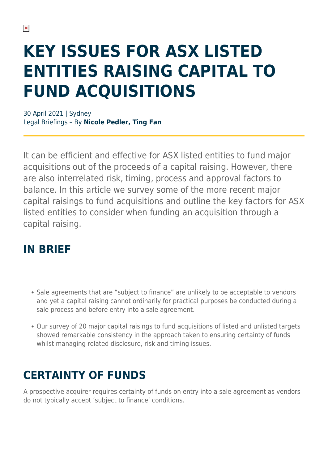# **KEY ISSUES FOR ASX LISTED ENTITIES RAISING CAPITAL TO FUND ACQUISITIONS**

30 April 2021 | Sydney Legal Briefings – By **Nicole Pedler, Ting Fan**

It can be efficient and effective for ASX listed entities to fund major acquisitions out of the proceeds of a capital raising. However, there are also interrelated risk, timing, process and approval factors to balance. In this article we survey some of the more recent major capital raisings to fund acquisitions and outline the key factors for ASX listed entities to consider when funding an acquisition through a capital raising.

### **IN BRIEF**

- Sale agreements that are "subject to finance" are unlikely to be acceptable to vendors and yet a capital raising cannot ordinarily for practical purposes be conducted during a sale process and before entry into a sale agreement.
- Our survey of 20 major capital raisings to fund acquisitions of listed and unlisted targets showed remarkable consistency in the approach taken to ensuring certainty of funds whilst managing related disclosure, risk and timing issues.

# **CERTAINTY OF FUNDS**

A prospective acquirer requires certainty of funds on entry into a sale agreement as vendors do not typically accept 'subject to finance' conditions.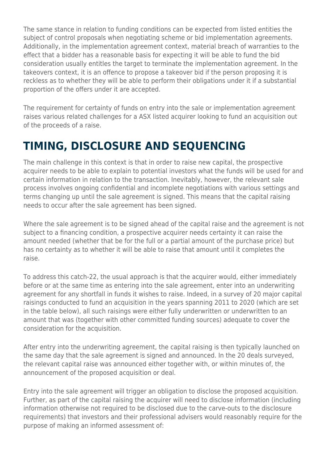The same stance in relation to funding conditions can be expected from listed entities the subject of control proposals when negotiating scheme or bid implementation agreements. Additionally, in the implementation agreement context, material breach of warranties to the effect that a bidder has a reasonable basis for expecting it will be able to fund the bid consideration usually entitles the target to terminate the implementation agreement. In the takeovers context, it is an offence to propose a takeover bid if the person proposing it is reckless as to whether they will be able to perform their obligations under it if a substantial proportion of the offers under it are accepted.

The requirement for certainty of funds on entry into the sale or implementation agreement raises various related challenges for a ASX listed acquirer looking to fund an acquisition out of the proceeds of a raise.

# **TIMING, DISCLOSURE AND SEQUENCING**

The main challenge in this context is that in order to raise new capital, the prospective acquirer needs to be able to explain to potential investors what the funds will be used for and certain information in relation to the transaction. Inevitably, however, the relevant sale process involves ongoing confidential and incomplete negotiations with various settings and terms changing up until the sale agreement is signed. This means that the capital raising needs to occur after the sale agreement has been signed.

Where the sale agreement is to be signed ahead of the capital raise and the agreement is not subject to a financing condition, a prospective acquirer needs certainty it can raise the amount needed (whether that be for the full or a partial amount of the purchase price) but has no certainty as to whether it will be able to raise that amount until it completes the raise.

To address this catch-22, the usual approach is that the acquirer would, either immediately before or at the same time as entering into the sale agreement, enter into an underwriting agreement for any shortfall in funds it wishes to raise. Indeed, in a survey of 20 major capital raisings conducted to fund an acquisition in the years spanning 2011 to 2020 (which are set in the table below), all such raisings were either fully underwritten or underwritten to an amount that was (together with other committed funding sources) adequate to cover the consideration for the acquisition.

After entry into the underwriting agreement, the capital raising is then typically launched on the same day that the sale agreement is signed and announced. In the 20 deals surveyed, the relevant capital raise was announced either together with, or within minutes of, the announcement of the proposed acquisition or deal.

Entry into the sale agreement will trigger an obligation to disclose the proposed acquisition. Further, as part of the capital raising the acquirer will need to disclose information (including information otherwise not required to be disclosed due to the carve-outs to the disclosure requirements) that investors and their professional advisers would reasonably require for the purpose of making an informed assessment of: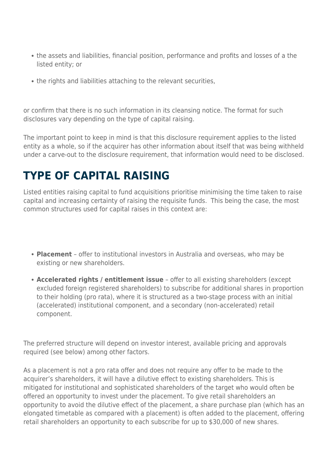- the assets and liabilities, financial position, performance and profits and losses of a the listed entity; or
- the rights and liabilities attaching to the relevant securities,

or confirm that there is no such information in its cleansing notice. The format for such disclosures vary depending on the type of capital raising.

The important point to keep in mind is that this disclosure requirement applies to the listed entity as a whole, so if the acquirer has other information about itself that was being withheld under a carve-out to the disclosure requirement, that information would need to be disclosed.

### **TYPE OF CAPITAL RAISING**

Listed entities raising capital to fund acquisitions prioritise minimising the time taken to raise capital and increasing certainty of raising the requisite funds. This being the case, the most common structures used for capital raises in this context are:

- **Placement** offer to institutional investors in Australia and overseas, who may be existing or new shareholders.
- **Accelerated rights / entitlement issue** offer to all existing shareholders (except excluded foreign registered shareholders) to subscribe for additional shares in proportion to their holding (pro rata), where it is structured as a two-stage process with an initial (accelerated) institutional component, and a secondary (non-accelerated) retail component.

The preferred structure will depend on investor interest, available pricing and approvals required (see below) among other factors.

As a placement is not a pro rata offer and does not require any offer to be made to the acquirer's shareholders, it will have a dilutive effect to existing shareholders. This is mitigated for institutional and sophisticated shareholders of the target who would often be offered an opportunity to invest under the placement. To give retail shareholders an opportunity to avoid the dilutive effect of the placement, a share purchase plan (which has an elongated timetable as compared with a placement) is often added to the placement, offering retail shareholders an opportunity to each subscribe for up to \$30,000 of new shares.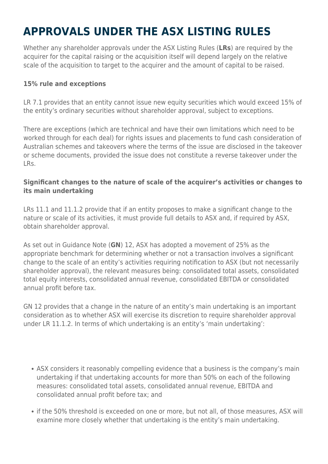# **APPROVALS UNDER THE ASX LISTING RULES**

Whether any shareholder approvals under the ASX Listing Rules (**LRs**) are required by the acquirer for the capital raising or the acquisition itself will depend largely on the relative scale of the acquisition to target to the acquirer and the amount of capital to be raised.

#### **15% rule and exceptions**

LR 7.1 provides that an entity cannot issue new equity securities which would exceed 15% of the entity's ordinary securities without shareholder approval, subject to exceptions.

There are exceptions (which are technical and have their own limitations which need to be worked through for each deal) for rights issues and placements to fund cash consideration of Australian schemes and takeovers where the terms of the issue are disclosed in the takeover or scheme documents, provided the issue does not constitute a reverse takeover under the LRs.

#### **Significant changes to the nature of scale of the acquirer's activities or changes to its main undertaking**

LRs 11.1 and 11.1.2 provide that if an entity proposes to make a significant change to the nature or scale of its activities, it must provide full details to ASX and, if required by ASX, obtain shareholder approval.

As set out in Guidance Note (**GN**) 12, ASX has adopted a movement of 25% as the appropriate benchmark for determining whether or not a transaction involves a significant change to the scale of an entity's activities requiring notification to ASX (but not necessarily shareholder approval), the relevant measures being: consolidated total assets, consolidated total equity interests, consolidated annual revenue, consolidated EBITDA or consolidated annual profit before tax.

GN 12 provides that a change in the nature of an entity's main undertaking is an important consideration as to whether ASX will exercise its discretion to require shareholder approval under LR 11.1.2. In terms of which undertaking is an entity's 'main undertaking':

- ASX considers it reasonably compelling evidence that a business is the company's main undertaking if that undertaking accounts for more than 50% on each of the following measures: consolidated total assets, consolidated annual revenue, EBITDA and consolidated annual profit before tax; and
- if the 50% threshold is exceeded on one or more, but not all, of those measures, ASX will examine more closely whether that undertaking is the entity's main undertaking.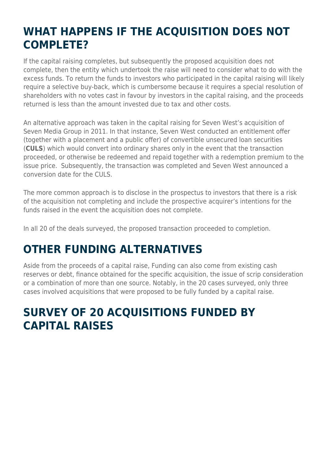### **WHAT HAPPENS IF THE ACQUISITION DOES NOT COMPLETE?**

If the capital raising completes, but subsequently the proposed acquisition does not complete, then the entity which undertook the raise will need to consider what to do with the excess funds. To return the funds to investors who participated in the capital raising will likely require a selective buy-back, which is cumbersome because it requires a special resolution of shareholders with no votes cast in favour by investors in the capital raising, and the proceeds returned is less than the amount invested due to tax and other costs.

An alternative approach was taken in the capital raising for Seven West's acquisition of Seven Media Group in 2011. In that instance, Seven West conducted an entitlement offer (together with a placement and a public offer) of convertible unsecured loan securities (**CULS**) which would convert into ordinary shares only in the event that the transaction proceeded, or otherwise be redeemed and repaid together with a redemption premium to the issue price. Subsequently, the transaction was completed and Seven West announced a conversion date for the CULS.

The more common approach is to disclose in the prospectus to investors that there is a risk of the acquisition not completing and include the prospective acquirer's intentions for the funds raised in the event the acquisition does not complete.

In all 20 of the deals surveyed, the proposed transaction proceeded to completion.

### **OTHER FUNDING ALTERNATIVES**

Aside from the proceeds of a capital raise, Funding can also come from existing cash reserves or debt, finance obtained for the specific acquisition, the issue of scrip consideration or a combination of more than one source. Notably, in the 20 cases surveyed, only three cases involved acquisitions that were proposed to be fully funded by a capital raise.

### **SURVEY OF 20 ACQUISITIONS FUNDED BY CAPITAL RAISES**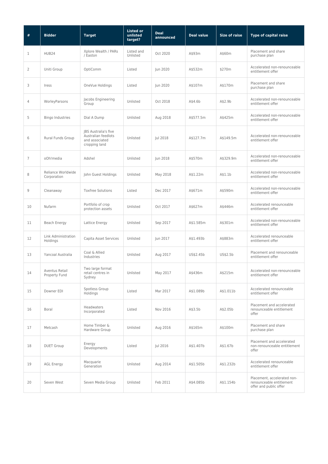| $\#$           | <b>Bidder</b>                     | <b>Target</b>                                                                  | <b>Listed or</b><br>unlisted<br>target? | <b>Deal</b><br>announced | <b>Deal value</b> | <b>Size of raise</b> | <b>Type of capital raise</b>                                                      |
|----------------|-----------------------------------|--------------------------------------------------------------------------------|-----------------------------------------|--------------------------|-------------------|----------------------|-----------------------------------------------------------------------------------|
| 1              | HUB24                             | Xplore Wealth / PARs<br>/ Easton                                               | Listed and<br>Unlisted                  | Oct 2020                 | A\$93m            | A\$60m               | Placement and share<br>purchase plan                                              |
| $\overline{2}$ | Uniti Group                       | OptiComm                                                                       | Listed                                  | Jun 2020                 | A\$532m           | \$270m               | Accelerated non-renounceable<br>entitlement offer                                 |
| 3              | Iress                             | OneVue Holdings                                                                | Listed                                  | Jun 2020                 | A\$107m           | A\$170m              | Placement and share<br>purchase plan                                              |
| $\overline{4}$ | WorleyParsons                     | Jacobs Engineering<br>Group                                                    | Unlisted                                | Oct 2018                 | A\$4.6b           | A\$2.9b              | Accelerated non-renounceable<br>entitlement offer                                 |
| 5              | Bingo Industries                  | Dial A Dump                                                                    | Unlisted                                | Aug 2018                 | A\$577.5m         | A\$425m              | Accelerated non-renounceable<br>entitlement offer                                 |
| 6              | Rural Funds Group                 | JBS Australia's five<br>Australian feedlots<br>and associated<br>cropping land | Unlisted                                | Jul 2018                 | A\$127.7m         | A\$149.5m            | Accelerated non-renounceable<br>entitlement offer                                 |
| $\overline{7}$ | oOh!media                         | Adshel                                                                         | Unlisted                                | Jun 2018                 | A\$570m           | A\$329.9m            | Accelerated non-renounceable<br>entitlement offer                                 |
| 8              | Reliance Worldwide<br>Corporation | John Guest Holdings                                                            | Unlisted                                | May 2018                 | A\$1.22m          | A\$1.1 <sub>b</sub>  | Accelerated non-renounceable<br>entitlement offer                                 |
| 9              | Cleanaway                         | <b>Toxfree Solutions</b>                                                       | Listed                                  | Dec 2017                 | A\$671m           | A\$590m              | Accelerated non-renounceable<br>entitlement offer                                 |
| 10             | Nufarm                            | Portfolio of crop<br>protection assets                                         | Unlisted                                | Oct 2017                 | A\$627m           | A\$446m              | Accelerated renounceable<br>entitlement offer                                     |
| 11             | Beach Energy                      | Lattice Energy                                                                 | Unlisted                                | Sep 2017                 | A\$1.585m         | A\$301m              | Accelerated non-renounceable<br>entitlement offer                                 |
| 12             | Link Administration<br>Holdings   | Capita Asset Services                                                          | Unlisted                                | Jun 2017                 | A\$1.493b         | A\$883m              | Accelerated renounceable<br>entitlement offer                                     |
| 13             | Yancoal Australia                 | Coal & Allied<br>Industries                                                    | Unlisted                                | Aug 2017                 | US\$2.45b         | US\$2.5b             | Placement and renounceable<br>entitlement offer                                   |
| 14             | Aventus Retail<br>Property Fund   | Two large format<br>retail centres in<br>Sydney                                | Unlisted                                | May 2017                 | A\$436m           | A\$215m              | Accelerated non-renounceable<br>entitlement offer                                 |
| 15             | Downer EDI                        | Spotless Group<br>Holdings                                                     | Listed                                  | Mar 2017                 | A\$1.089b         | A\$1.011b            | Accelerated renounceable<br>entitlement offer                                     |
| 16             | Boral                             | <b>Headwaters</b><br>Incorporated                                              | Listed                                  | Nov 2016                 | A\$3.5b           | A\$2.05b             | Placement and accelerated<br>renounceable entitlement<br>offer                    |
| 17             | Metcash                           | Home Timber &<br>Hardware Group                                                | Unlisted                                | Aug 2016                 | A\$165m           | A\$100m              | Placement and share<br>purchase plan                                              |
| 18             | <b>DUET Group</b>                 | Energy<br>Developments                                                         | Listed                                  | Jul 2016                 | A\$1.407b         | A\$1.67b             | Placement and accelerated<br>non-renounceable entitlement<br>offer                |
| 19             | <b>AGL Energy</b>                 | Macquarie<br>Generation                                                        | Unlisted                                | Aug 2014                 | A\$1.505b         | A\$1.232b            | Accelerated renounceable<br>entitlement offer                                     |
| 20             | Seven West                        | Seven Media Group                                                              | Unlisted                                | Feb 2011                 | A\$4.085b         | A\$1.154b            | Placement, accelerated non-<br>renounceable entitlement<br>offer and public offer |